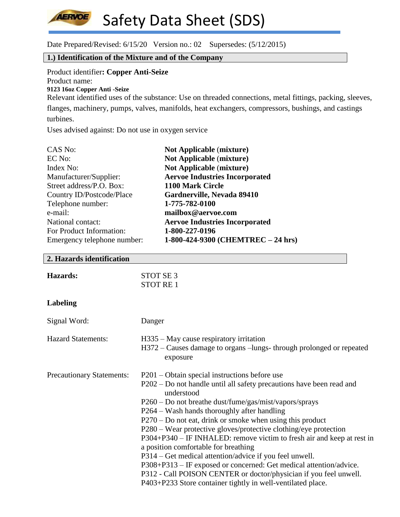

Date Prepared/Revised: 6/15/20 Version no.: 02 Supersedes: (5/12/2015)

## **1.) Identification of the Mixture and of the Company**

Product identifier**: Copper Anti-Seize** Product name: **9123 16oz Copper Anti -Seize** 

Relevant identified uses of the substance: Use on threaded connections, metal fittings, packing, sleeves, flanges, machinery, pumps, valves, manifolds, heat exchangers, compressors, bushings, and castings turbines.

Uses advised against: Do not use in oxygen service

| CAS No:                     | <b>Not Applicable (mixture)</b>       |
|-----------------------------|---------------------------------------|
| EC No:                      | <b>Not Applicable (mixture)</b>       |
| Index No:                   | <b>Not Applicable (mixture)</b>       |
| Manufacturer/Supplier:      | <b>Aervoe Industries Incorporated</b> |
| Street address/P.O. Box:    | 1100 Mark Circle                      |
| Country ID/Postcode/Place   | Gardnerville, Nevada 89410            |
| Telephone number:           | 1-775-782-0100                        |
| e-mail:                     | mailbox@aervoe.com                    |
| National contact:           | <b>Aervoe Industries Incorporated</b> |
| For Product Information:    | 1-800-227-0196                        |
| Emergency telephone number: | 1-800-424-9300 (CHEMTREC - 24 hrs)    |

#### **2. Hazards identification**

| <b>Hazards:</b> | STOT SE 3 |
|-----------------|-----------|
|                 | STOT RE 1 |

## **Labeling**

| Signal Word:                     | Danger                                                                                                                      |
|----------------------------------|-----------------------------------------------------------------------------------------------------------------------------|
| <b>Hazard Statements:</b>        | H335 – May cause respiratory irritation<br>H372 – Causes damage to organs – lungs-through prolonged or repeated<br>exposure |
| <b>Precautionary Statements:</b> | P201 – Obtain special instructions before use                                                                               |
|                                  | P202 – Do not handle until all safety precautions have been read and<br>understood                                          |
|                                  | P260 – Do not breathe dust/fume/gas/mist/vapors/sprays                                                                      |
|                                  | P264 – Wash hands thoroughly after handling                                                                                 |
|                                  | $P270 - Do$ not eat, drink or smoke when using this product                                                                 |
|                                  | P280 – Wear protective gloves/protective clothing/eye protection                                                            |
|                                  | P304+P340 – IF INHALED: remove victim to fresh air and keep at rest in                                                      |
|                                  | a position comfortable for breathing                                                                                        |
|                                  | P314 – Get medical attention/advice if you feel unwell.                                                                     |
|                                  | P308+P313 – IF exposed or concerned: Get medical attention/advice.                                                          |
|                                  | P312 - Call POISON CENTER or doctor/physician if you feel unwell.                                                           |
|                                  | P403+P233 Store container tightly in well-ventilated place.                                                                 |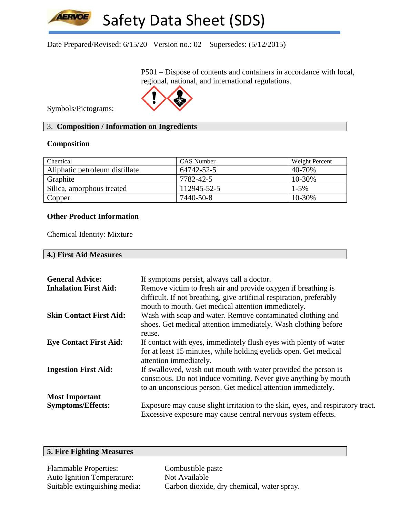Date Prepared/Revised: 6/15/20 Version no.: 02 Supersedes: (5/12/2015)

P501 – Dispose of contents and containers in accordance with local, regional, national, and international regulations.



Symbols/Pictograms:

**AERVOE** 

## 3. **Composition / Information on Ingredients**

## **Composition**

| Chemical                       | <b>CAS</b> Number | Weight Percent |
|--------------------------------|-------------------|----------------|
| Aliphatic petroleum distillate | 64742-52-5        | 40-70%         |
| Graphite                       | 7782-42-5         | $10 - 30\%$    |
| Silica, amorphous treated      | 112945-52-5       | $1 - 5\%$      |
| Copper                         | 7440-50-8         | 10-30%         |

## **Other Product Information**

Chemical Identity: Mixture

|  | 4.) First Aid Measures |  |
|--|------------------------|--|
|--|------------------------|--|

| <b>General Advice:</b>         | If symptoms persist, always call a doctor.                                     |
|--------------------------------|--------------------------------------------------------------------------------|
| <b>Inhalation First Aid:</b>   | Remove victim to fresh air and provide oxygen if breathing is                  |
|                                | difficult. If not breathing, give artificial respiration, preferably           |
|                                | mouth to mouth. Get medical attention immediately.                             |
| <b>Skin Contact First Aid:</b> | Wash with soap and water. Remove contaminated clothing and                     |
|                                | shoes. Get medical attention immediately. Wash clothing before                 |
|                                | reuse.                                                                         |
| <b>Eye Contact First Aid:</b>  | If contact with eyes, immediately flush eyes with plenty of water              |
|                                | for at least 15 minutes, while holding eyelids open. Get medical               |
|                                | attention immediately.                                                         |
| <b>Ingestion First Aid:</b>    | If swallowed, wash out mouth with water provided the person is                 |
|                                | conscious. Do not induce vomiting. Never give anything by mouth                |
|                                | to an unconscious person. Get medical attention immediately.                   |
| <b>Most Important</b>          |                                                                                |
| <b>Symptoms/Effects:</b>       | Exposure may cause slight irritation to the skin, eyes, and respiratory tract. |
|                                | Excessive exposure may cause central nervous system effects.                   |

## **5. Fire Fighting Measures**

Flammable Properties: Combustible paste Auto Ignition Temperature: Not Available

Suitable extinguishing media: Carbon dioxide, dry chemical, water spray.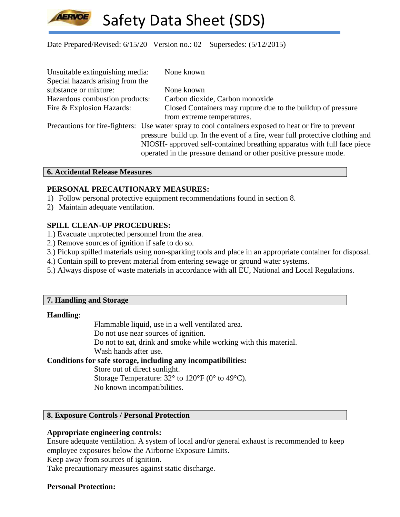

## Date Prepared/Revised: 6/15/20 Version no.: 02 Supersedes: (5/12/2015)

| Unsuitable extinguishing media:  | None known                                                                                           |
|----------------------------------|------------------------------------------------------------------------------------------------------|
| Special hazards arising from the |                                                                                                      |
| substance or mixture:            | None known                                                                                           |
| Hazardous combustion products:   | Carbon dioxide, Carbon monoxide                                                                      |
| Fire & Explosion Hazards:        | Closed Containers may rupture due to the buildup of pressure                                         |
|                                  | from extreme temperatures.                                                                           |
|                                  | Precautions for fire-fighters: Use water spray to cool containers exposed to heat or fire to prevent |
|                                  | pressure build up. In the event of a fire, wear full protective clothing and                         |
|                                  | NIOSH- approved self-contained breathing apparatus with full face piece                              |
|                                  | operated in the pressure demand or other positive pressure mode.                                     |

#### **6. Accidental Release Measures**

#### **PERSONAL PRECAUTIONARY MEASURES:**

- 1) Follow personal protective equipment recommendations found in section 8.
- 2) Maintain adequate ventilation.

## **SPILL CLEAN-UP PROCEDURES:**

- 1.) Evacuate unprotected personnel from the area.
- 2.) Remove sources of ignition if safe to do so.
- 3.) Pickup spilled materials using non-sparking tools and place in an appropriate container for disposal.
- 4.) Contain spill to prevent material from entering sewage or ground water systems.
- 5.) Always dispose of waste materials in accordance with all EU, National and Local Regulations.

#### **7. Handling and Storage**

#### **Handling**:

Flammable liquid, use in a well ventilated area.

Do not use near sources of ignition.

Do not to eat, drink and smoke while working with this material.

Wash hands after use.

## **Conditions for safe storage, including any incompatibilities:**

Store out of direct sunlight.

Storage Temperature: 32° to 120°F (0° to 49°C).

No known incompatibilities.

## **8. Exposure Controls / Personal Protection**

## **Appropriate engineering controls:**

Ensure adequate ventilation. A system of local and/or general exhaust is recommended to keep employee exposures below the Airborne Exposure Limits.

Keep away from sources of ignition.

Take precautionary measures against static discharge.

## **Personal Protection:**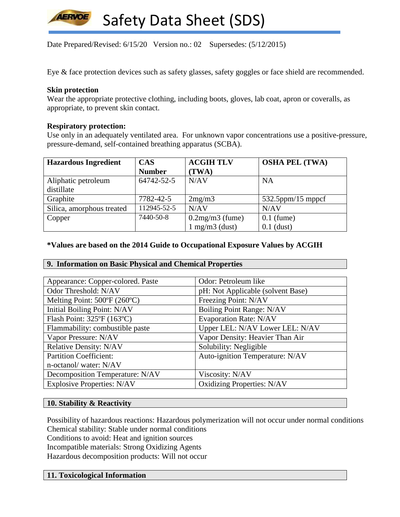

Date Prepared/Revised: 6/15/20 Version no.: 02 Supersedes: (5/12/2015)

Eye & face protection devices such as safety glasses, safety goggles or face shield are recommended.

### **Skin protection**

Wear the appropriate protective clothing, including boots, gloves, lab coat, apron or coveralls, as appropriate, to prevent skin contact.

#### **Respiratory protection:**

Use only in an adequately ventilated area. For unknown vapor concentrations use a positive-pressure, pressure-demand, self-contained breathing apparatus (SCBA).

| <b>Hazardous Ingredient</b> | <b>CAS</b>    | <b>ACGIH TLV</b>                    | <b>OSHA PEL (TWA)</b> |
|-----------------------------|---------------|-------------------------------------|-----------------------|
|                             | <b>Number</b> | (TWA)                               |                       |
| Aliphatic petroleum         | 64742-52-5    | N/AV                                | <b>NA</b>             |
| distillate                  |               |                                     |                       |
| Graphite                    | 7782-42-5     | 2mg/m3                              | $532.5$ ppm/15 mppcf  |
| Silica, amorphous treated   | 112945-52-5   | N/AV                                | N/AV                  |
| Copper                      | 7440-50-8     | $0.2$ mg/m $3$ (fume)               | $0.1$ (fume)          |
|                             |               | $1 \text{ mg/m}$ $3 \text{ (dust)}$ | $0.1$ (dust)          |

#### **\*Values are based on the 2014 Guide to Occupational Exposure Values by ACGIH**

## **9. Information on Basic Physical and Chemical Properties**

| Appearance: Copper-colored. Paste | Odor: Petroleum like              |
|-----------------------------------|-----------------------------------|
| Odor Threshold: N/AV              | pH: Not Applicable (solvent Base) |
| Melting Point: 500°F (260°C)      | Freezing Point: N/AV              |
| Initial Boiling Point: N/AV       | Boiling Point Range: N/AV         |
| Flash Point: 325°F (163°C)        | <b>Evaporation Rate: N/AV</b>     |
| Flammability: combustible paste   | Upper LEL: N/AV Lower LEL: N/AV   |
| Vapor Pressure: N/AV              | Vapor Density: Heavier Than Air   |
| <b>Relative Density: N/AV</b>     | Solubility: Negligible            |
| <b>Partition Coefficient:</b>     | Auto-ignition Temperature: N/AV   |
| n-octanol/water: N/AV             |                                   |
| Decomposition Temperature: N/AV   | Viscosity: N/AV                   |
| <b>Explosive Properties: N/AV</b> | <b>Oxidizing Properties: N/AV</b> |

#### **10. Stability & Reactivity**

Possibility of hazardous reactions: Hazardous polymerization will not occur under normal conditions Chemical stability: Stable under normal conditions Conditions to avoid: Heat and ignition sources Incompatible materials: Strong Oxidizing Agents Hazardous decomposition products: Will not occur

## **11. Toxicological Information**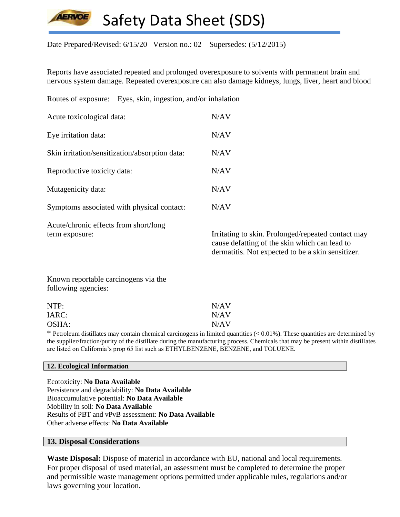

Date Prepared/Revised: 6/15/20 Version no.: 02 Supersedes: (5/12/2015)

Reports have associated repeated and prolonged overexposure to solvents with permanent brain and nervous system damage. Repeated overexposure can also damage kidneys, lungs, liver, heart and blood

Routes of exposure: Eyes, skin, ingestion, and/or inhalation

| Acute toxicological data:                      | N/AV |
|------------------------------------------------|------|
| Eye irritation data:                           | N/AV |
| Skin irritation/sensitization/absorption data: | N/AV |
| Reproductive toxicity data:                    | N/AV |
| Mutagenicity data:                             | N/AV |
| Symptoms associated with physical contact:     | N/AV |
| Acute/chronic effects from short/long          |      |

term exposure: Irritating to skin. Prolonged/repeated contact may cause defatting of the skin which can lead to dermatitis. Not expected to be a skin sensitizer.

Known reportable carcinogens via the following agencies:

| NTP:  | N/AV |
|-------|------|
| IARC: | N/AV |
| OSHA: | N/AV |

 $*$  Petroleum distillates may contain chemical carcinogens in limited quantities  $(< 0.01\%)$ . These quantities are determined by the supplier/fraction/purity of the distillate during the manufacturing process. Chemicals that may be present within distillates are listed on California's prop 65 list such as ETHYLBENZENE, BENZENE, and TOLUENE.

#### **12. Ecological Information**

Ecotoxicity: **No Data Available** Persistence and degradability: **No Data Available** Bioaccumulative potential: **No Data Available** Mobility in soil: **No Data Available** Results of PBT and vPvB assessment: **No Data Available** Other adverse effects: **No Data Available**

#### **13. Disposal Considerations**

**Waste Disposal:** Dispose of material in accordance with EU, national and local requirements. For proper disposal of used material, an assessment must be completed to determine the proper and permissible waste management options permitted under applicable rules, regulations and/or laws governing your location.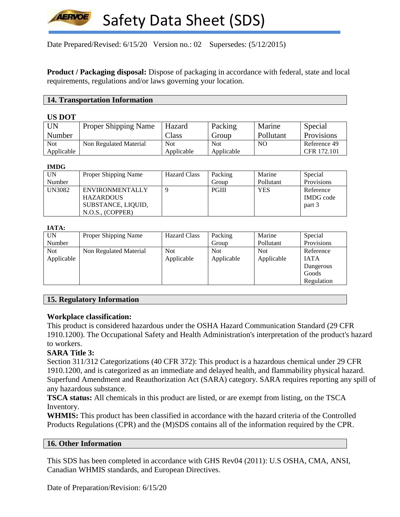Date Prepared/Revised: 6/15/20 Version no.: 02 Supersedes: (5/12/2015)

**Product / Packaging disposal:** Dispose of packaging in accordance with federal, state and local requirements, regulations and/or laws governing your location.

#### **14. Transportation Information**

#### **US DOT**

| <b>UN</b>  | <b>Proper Shipping Name</b> | Hazard     | Packing    | Marine    | Special      |
|------------|-----------------------------|------------|------------|-----------|--------------|
| Number     |                             | Class      | Group      | Pollutant | Provisions   |
| <b>Not</b> | Non Regulated Material      | <b>Not</b> | <b>Not</b> | NO        | Reference 49 |
| Applicable |                             | Applicable | Applicable |           | CFR 172.101  |

#### **IMDG**

| UN            | Proper Shipping Name | <b>Hazard Class</b> | Packing      | Marine     | Special          |
|---------------|----------------------|---------------------|--------------|------------|------------------|
| Number        |                      |                     | Group        | Pollutant  | Provisions       |
| <b>UN3082</b> | ENVIRONMENTALLY      | 9                   | <b>PGIII</b> | <b>YES</b> | Reference        |
|               | <b>HAZARDOUS</b>     |                     |              |            | <b>IMDG</b> code |
|               | SUBSTANCE, LIQUID,   |                     |              |            | part 3           |
|               | N.O.S., (COPPER)     |                     |              |            |                  |

#### **IATA:**

| UN         | Proper Shipping Name   | <b>Hazard Class</b> | Packing    | Marine     | Special     |
|------------|------------------------|---------------------|------------|------------|-------------|
| Number     |                        |                     | Group      | Pollutant  | Provisions  |
| <b>Not</b> | Non Regulated Material | <b>Not</b>          | <b>Not</b> | <b>Not</b> | Reference   |
| Applicable |                        | Applicable          | Applicable | Applicable | <b>IATA</b> |
|            |                        |                     |            |            | Dangerous   |
|            |                        |                     |            |            | Goods       |
|            |                        |                     |            |            | Regulation  |

## **15. Regulatory Information**

## **Workplace classification:**

This product is considered hazardous under the OSHA Hazard Communication Standard (29 CFR 1910.1200). The Occupational Safety and Health Administration's interpretation of the product's hazard to workers.

## **SARA Title 3:**

Section 311/312 Categorizations (40 CFR 372): This product is a hazardous chemical under 29 CFR 1910.1200, and is categorized as an immediate and delayed health, and flammability physical hazard. Superfund Amendment and Reauthorization Act (SARA) category. SARA requires reporting any spill of any hazardous substance.

**TSCA status:** All chemicals in this product are listed, or are exempt from listing, on the TSCA Inventory.

**WHMIS:** This product has been classified in accordance with the hazard criteria of the Controlled Products Regulations (CPR) and the (M)SDS contains all of the information required by the CPR.

## **16. Other Information**

This SDS has been completed in accordance with GHS Rev04 (2011): U.S OSHA, CMA, ANSI, Canadian WHMIS standards, and European Directives.

Date of Preparation/Revision: 6/15/20